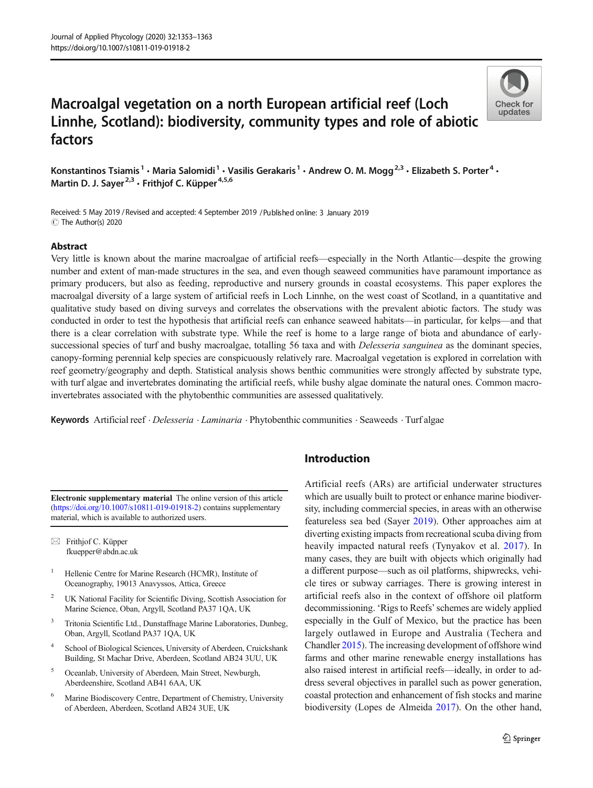# Macroalgal vegetation on a north European artificial reef (Loch Linnhe, Scotland): biodiversity, community types and role of abiotic factors



Konstantinos Tsiamis<sup>1</sup> • Maria Salomidi<sup>1</sup> • Vasilis Gerakaris<sup>1</sup> • Andrew O. M. Mogg<sup>2,3</sup> • Elizabeth S. Porter<sup>4</sup> • Martin D. J. Sayer<sup>2,3</sup>  $\cdot$  Frithjof C. Küpper<sup>4,5,6</sup>

Received: 5 May 2019 / Revised and accepted: 4 September 2019 /Published online: 3 January 2019 $\circledcirc$  The Author(s) 2020

## Abstract

Very little is known about the marine macroalgae of artificial reefs—especially in the North Atlantic—despite the growing number and extent of man-made structures in the sea, and even though seaweed communities have paramount importance as primary producers, but also as feeding, reproductive and nursery grounds in coastal ecosystems. This paper explores the macroalgal diversity of a large system of artificial reefs in Loch Linnhe, on the west coast of Scotland, in a quantitative and qualitative study based on diving surveys and correlates the observations with the prevalent abiotic factors. The study was conducted in order to test the hypothesis that artificial reefs can enhance seaweed habitats—in particular, for kelps—and that there is a clear correlation with substrate type. While the reef is home to a large range of biota and abundance of earlysuccessional species of turf and bushy macroalgae, totalling 56 taxa and with *Delesseria sanguinea* as the dominant species, canopy-forming perennial kelp species are conspicuously relatively rare. Macroalgal vegetation is explored in correlation with reef geometry/geography and depth. Statistical analysis shows benthic communities were strongly affected by substrate type, with turf algae and invertebrates dominating the artificial reefs, while bushy algae dominate the natural ones. Common macroinvertebrates associated with the phytobenthic communities are assessed qualitatively.

Keywords Artificial reef . Delesseria . Laminaria . Phytobenthic communities . Seaweeds . Turf algae

Electronic supplementary material The online version of this article (<https://doi.org/10.1007/s10811-019-01918-2>) contains supplementary material, which is available to authorized users.

 $\boxtimes$  Frithjof C. Küpper [fkuepper@abdn.ac.uk](mailto:fkuepper@abdn.ac.uk)

- <sup>1</sup> Hellenic Centre for Marine Research (HCMR), Institute of Oceanography, 19013 Anavyssos, Attica, Greece
- <sup>2</sup> UK National Facility for Scientific Diving, Scottish Association for Marine Science, Oban, Argyll, Scotland PA37 1QA, UK
- <sup>3</sup> Tritonia Scientific Ltd., Dunstaffnage Marine Laboratories, Dunbeg, Oban, Argyll, Scotland PA37 1QA, UK
- School of Biological Sciences, University of Aberdeen, Cruickshank Building, St Machar Drive, Aberdeen, Scotland AB24 3UU, UK
- <sup>5</sup> Oceanlab, University of Aberdeen, Main Street, Newburgh, Aberdeenshire, Scotland AB41 6AA, UK
- <sup>6</sup> Marine Biodiscovery Centre, Department of Chemistry, University of Aberdeen, Aberdeen, Scotland AB24 3UE, UK

# Introduction

Artificial reefs (ARs) are artificial underwater structures which are usually built to protect or enhance marine biodiversity, including commercial species, in areas with an otherwise featureless sea bed (Sayer [2019](#page-9-0)). Other approaches aim at diverting existing impacts from recreational scuba diving from heavily impacted natural reefs (Tynyakov et al. [2017](#page-10-0)). In many cases, they are built with objects which originally had a different purpose—such as oil platforms, shipwrecks, vehicle tires or subway carriages. There is growing interest in artificial reefs also in the context of offshore oil platform decommissioning. 'Rigs to Reefs'schemes are widely applied especially in the Gulf of Mexico, but the practice has been largely outlawed in Europe and Australia (Techera and Chandler [2015](#page-10-0)). The increasing development of offshore wind farms and other marine renewable energy installations has also raised interest in artificial reefs—ideally, in order to address several objectives in parallel such as power generation, coastal protection and enhancement of fish stocks and marine biodiversity (Lopes de Almeida [2017\)](#page-9-0). On the other hand,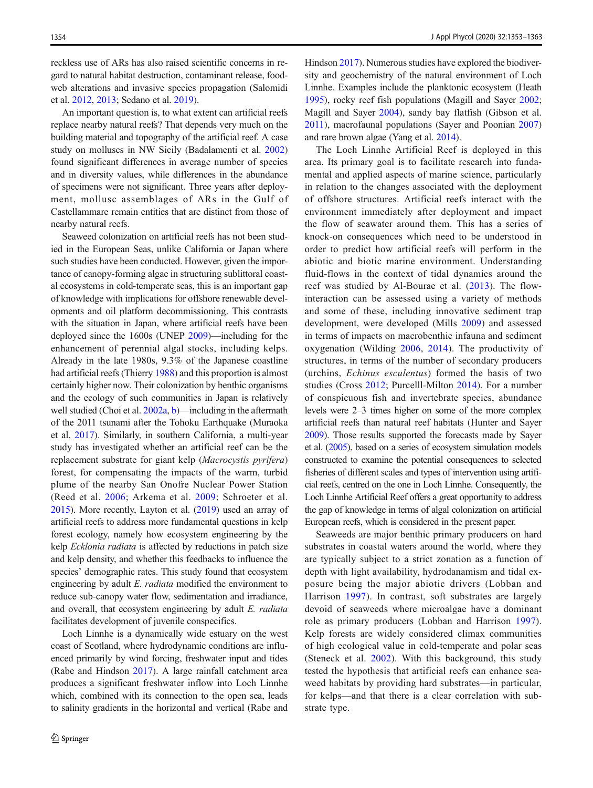reckless use of ARs has also raised scientific concerns in regard to natural habitat destruction, contaminant release, foodweb alterations and invasive species propagation (Salomidi et al. [2012](#page-9-0), [2013;](#page-9-0) Sedano et al. [2019](#page-9-0)).

An important question is, to what extent can artificial reefs replace nearby natural reefs? That depends very much on the building material and topography of the artificial reef. A case study on molluscs in NW Sicily (Badalamenti et al. [2002\)](#page-8-0) found significant differences in average number of species and in diversity values, while differences in the abundance of specimens were not significant. Three years after deployment, mollusc assemblages of ARs in the Gulf of Castellammare remain entities that are distinct from those of nearby natural reefs.

Seaweed colonization on artificial reefs has not been studied in the European Seas, unlike California or Japan where such studies have been conducted. However, given the importance of canopy-forming algae in structuring sublittoral coastal ecosystems in cold-temperate seas, this is an important gap of knowledge with implications for offshore renewable developments and oil platform decommissioning. This contrasts with the situation in Japan, where artificial reefs have been deployed since the 1600s (UNEP [2009\)](#page-10-0)—including for the enhancement of perennial algal stocks, including kelps. Already in the late 1980s, 9.3% of the Japanese coastline had artificial reefs (Thierry [1988](#page-10-0)) and this proportion is almost certainly higher now. Their colonization by benthic organisms and the ecology of such communities in Japan is relatively well studied (Choi et al. [2002a,](#page-8-0) [b](#page-9-0))—including in the aftermath of the 2011 tsunami after the Tohoku Earthquake (Muraoka et al. [2017\)](#page-9-0). Similarly, in southern California, a multi-year study has investigated whether an artificial reef can be the replacement substrate for giant kelp (Macrocystis pyrifera) forest, for compensating the impacts of the warm, turbid plume of the nearby San Onofre Nuclear Power Station (Reed et al. [2006](#page-9-0); Arkema et al. [2009;](#page-8-0) Schroeter et al. [2015\)](#page-9-0). More recently, Layton et al. ([2019](#page-9-0)) used an array of artificial reefs to address more fundamental questions in kelp forest ecology, namely how ecosystem engineering by the kelp *Ecklonia radiata* is affected by reductions in patch size and kelp density, and whether this feedbacks to influence the species' demographic rates. This study found that ecosystem engineering by adult E. radiata modified the environment to reduce sub-canopy water flow, sedimentation and irradiance, and overall, that ecosystem engineering by adult E. radiata facilitates development of juvenile conspecifics.

Loch Linnhe is a dynamically wide estuary on the west coast of Scotland, where hydrodynamic conditions are influenced primarily by wind forcing, freshwater input and tides (Rabe and Hindson [2017](#page-9-0)). A large rainfall catchment area produces a significant freshwater inflow into Loch Linnhe which, combined with its connection to the open sea, leads to salinity gradients in the horizontal and vertical (Rabe and

Hindson [2017\)](#page-9-0). Numerous studies have explored the biodiversity and geochemistry of the natural environment of Loch Linnhe. Examples include the planktonic ecosystem (Heath [1995\)](#page-9-0), rocky reef fish populations (Magill and Sayer [2002;](#page-9-0) Magill and Sayer [2004](#page-9-0)), sandy bay flatfish (Gibson et al. [2011\)](#page-9-0), macrofaunal populations (Sayer and Poonian [2007](#page-9-0)) and rare brown algae (Yang et al. [2014\)](#page-10-0).

The Loch Linnhe Artificial Reef is deployed in this area. Its primary goal is to facilitate research into fundamental and applied aspects of marine science, particularly in relation to the changes associated with the deployment of offshore structures. Artificial reefs interact with the environment immediately after deployment and impact the flow of seawater around them. This has a series of knock-on consequences which need to be understood in order to predict how artificial reefs will perform in the abiotic and biotic marine environment. Understanding fluid-flows in the context of tidal dynamics around the reef was studied by Al-Bourae et al. ([2013\)](#page-8-0). The flowinteraction can be assessed using a variety of methods and some of these, including innovative sediment trap development, were developed (Mills [2009\)](#page-9-0) and assessed in terms of impacts on macrobenthic infauna and sediment oxygenation (Wilding [2006,](#page-10-0) [2014](#page-10-0)). The productivity of structures, in terms of the number of secondary producers (urchins, Echinus esculentus) formed the basis of two studies (Cross [2012](#page-9-0); Purcelll-Milton [2014](#page-9-0)). For a number of conspicuous fish and invertebrate species, abundance levels were 2–3 times higher on some of the more complex artificial reefs than natural reef habitats (Hunter and Sayer [2009](#page-9-0)). Those results supported the forecasts made by Sayer et al. [\(2005\)](#page-9-0), based on a series of ecosystem simulation models constructed to examine the potential consequences to selected fisheries of different scales and types of intervention using artificial reefs, centred on the one in Loch Linnhe. Consequently, the Loch Linnhe Artificial Reef offers a great opportunity to address the gap of knowledge in terms of algal colonization on artificial European reefs, which is considered in the present paper.

Seaweeds are major benthic primary producers on hard substrates in coastal waters around the world, where they are typically subject to a strict zonation as a function of depth with light availability, hydrodanamism and tidal exposure being the major abiotic drivers (Lobban and Harrison [1997\)](#page-9-0). In contrast, soft substrates are largely devoid of seaweeds where microalgae have a dominant role as primary producers (Lobban and Harrison [1997](#page-9-0)). Kelp forests are widely considered climax communities of high ecological value in cold-temperate and polar seas (Steneck et al. [2002](#page-10-0)). With this background, this study tested the hypothesis that artificial reefs can enhance seaweed habitats by providing hard substrates—in particular, for kelps—and that there is a clear correlation with substrate type.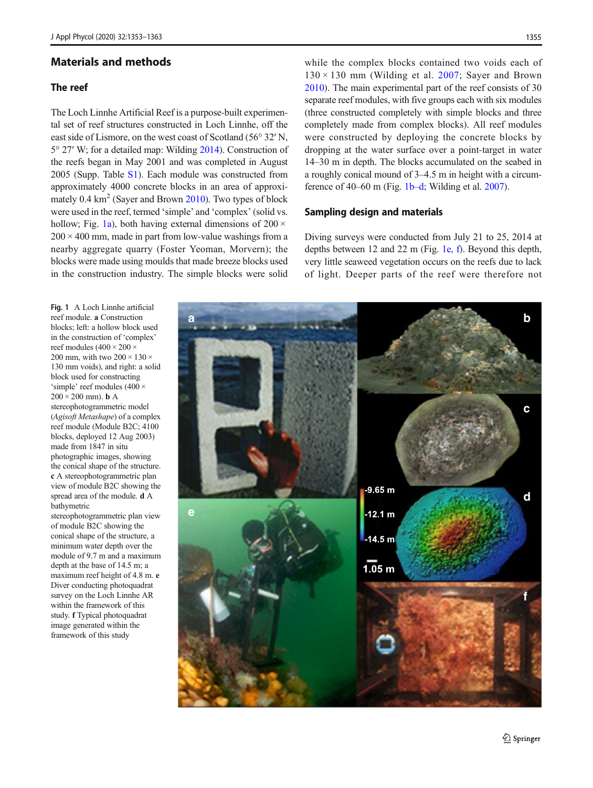## Materials and methods

# The reef

The Loch Linnhe Artificial Reef is a purpose-built experimental set of reef structures constructed in Loch Linnhe, off the east side of Lismore, on the west coast of Scotland (56° 32′ N, 5° 27′ W; for a detailed map: Wilding [2014](#page-10-0)). Construction of the reefs began in May 2001 and was completed in August 2005 (Supp. Table S1). Each module was constructed from approximately 4000 concrete blocks in an area of approximately  $0.4 \text{ km}^2$  (Sayer and Brown [2010](#page-9-0)). Two types of block were used in the reef, termed 'simple' and 'complex' (solid vs. hollow; Fig. 1a), both having external dimensions of  $200 \times$  $200 \times 400$  mm, made in part from low-value washings from a nearby aggregate quarry (Foster Yeoman, Morvern); the blocks were made using moulds that made breeze blocks used in the construction industry. The simple blocks were solid

while the complex blocks contained two voids each of  $130 \times 130$  mm (Wilding et al. [2007](#page-10-0); Sayer and Brown [2010\)](#page-9-0). The main experimental part of the reef consists of 30 separate reef modules, with five groups each with six modules (three constructed completely with simple blocks and three completely made from complex blocks). All reef modules were constructed by deploying the concrete blocks by dropping at the water surface over a point-target in water 14–30 m in depth. The blocks accumulated on the seabed in a roughly conical mound of 3–4.5 m in height with a circumference of 40–60 m (Fig. 1b–d; Wilding et al. [2007](#page-10-0)).

## Sampling design and materials

Diving surveys were conducted from July 21 to 25, 2014 at depths between 12 and 22 m (Fig. 1e, f). Beyond this depth, very little seaweed vegetation occurs on the reefs due to lack of light. Deeper parts of the reef were therefore not

Fig. 1 A Loch Linnhe artificial reef module. a Construction blocks; left: a hollow block used in the construction of 'complex' reef modules  $(400 \times 200 \times$ 200 mm, with two  $200 \times 130 \times$ 130 mm voids), and right: a solid block used for constructing 'simple' reef modules (400 ×  $200 \times 200$  mm). **b** A stereophotogrammetric model (Agisoft Metashape) of a complex reef module (Module B2C; 4100 blocks, deployed 12 Aug 2003) made from 1847 in situ photographic images, showing the conical shape of the structure. c A stereophotogrammetric plan view of module B2C showing the spread area of the module. d A bathymetric stereophotogrammetric plan view

of module B2C showing the conical shape of the structure, a minimum water depth over the module of 9.7 m and a maximum depth at the base of 14.5 m; a maximum reef height of 4.8 m. e Diver conducting photoquadrat survey on the Loch Linnhe AR within the framework of this study. f Typical photoquadrat image generated within the framework of this study

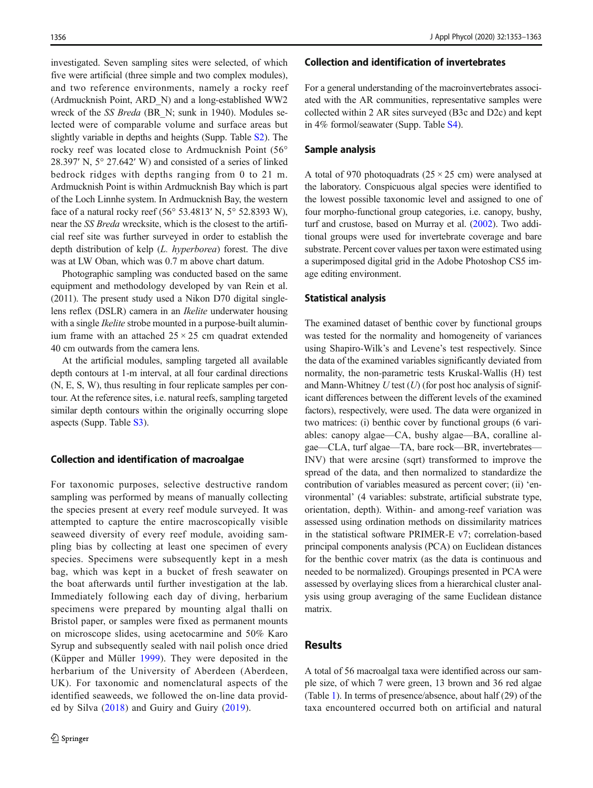investigated. Seven sampling sites were selected, of which five were artificial (three simple and two complex modules), and two reference environments, namely a rocky reef (Ardmucknish Point, ARD\_N) and a long-established WW2 wreck of the SS Breda (BR\_N; sunk in 1940). Modules selected were of comparable volume and surface areas but slightly variable in depths and heights (Supp. Table S2). The rocky reef was located close to Ardmucknish Point (56° 28.397′ N, 5° 27.642′ W) and consisted of a series of linked bedrock ridges with depths ranging from 0 to 21 m. Ardmucknish Point is within Ardmucknish Bay which is part of the Loch Linnhe system. In Ardmucknish Bay, the western face of a natural rocky reef (56° 53.4813′ N, 5° 52.8393 W), near the SS Breda wrecksite, which is the closest to the artificial reef site was further surveyed in order to establish the depth distribution of kelp (L. hyperborea) forest. The dive was at LW Oban, which was 0.7 m above chart datum.

Photographic sampling was conducted based on the same equipment and methodology developed by van Rein et al. (2011). The present study used a Nikon D70 digital singlelens reflex (DSLR) camera in an Ikelite underwater housing with a single *Ikelite* strobe mounted in a purpose-built aluminium frame with an attached  $25 \times 25$  cm quadrat extended 40 cm outwards from the camera lens.

At the artificial modules, sampling targeted all available depth contours at 1-m interval, at all four cardinal directions (N, E, S, W), thus resulting in four replicate samples per contour. At the reference sites, i.e. natural reefs, sampling targeted similar depth contours within the originally occurring slope aspects (Supp. Table S3).

#### Collection and identification of macroalgae

For taxonomic purposes, selective destructive random sampling was performed by means of manually collecting the species present at every reef module surveyed. It was attempted to capture the entire macroscopically visible seaweed diversity of every reef module, avoiding sampling bias by collecting at least one specimen of every species. Specimens were subsequently kept in a mesh bag, which was kept in a bucket of fresh seawater on the boat afterwards until further investigation at the lab. Immediately following each day of diving, herbarium specimens were prepared by mounting algal thalli on Bristol paper, or samples were fixed as permanent mounts on microscope slides, using acetocarmine and 50% Karo Syrup and subsequently sealed with nail polish once dried (Küpper and Müller [1999](#page-9-0)). They were deposited in the herbarium of the University of Aberdeen (Aberdeen, UK). For taxonomic and nomenclatural aspects of the identified seaweeds, we followed the on-line data provided by Silva [\(2018\)](#page-9-0) and Guiry and Guiry [\(2019\)](#page-9-0).

#### Collection and identification of invertebrates

For a general understanding of the macroinvertebrates associated with the AR communities, representative samples were collected within 2 AR sites surveyed (B3c and D2c) and kept in 4% formol/seawater (Supp. Table S4).

#### Sample analysis

A total of 970 photoquadrats  $(25 \times 25$  cm) were analysed at the laboratory. Conspicuous algal species were identified to the lowest possible taxonomic level and assigned to one of four morpho-functional group categories, i.e. canopy, bushy, turf and crustose, based on Murray et al. [\(2002\)](#page-9-0). Two additional groups were used for invertebrate coverage and bare substrate. Percent cover values per taxon were estimated using a superimposed digital grid in the Adobe Photoshop CS5 image editing environment.

#### Statistical analysis

The examined dataset of benthic cover by functional groups was tested for the normality and homogeneity of variances using Shapiro-Wilk's and Levene's test respectively. Since the data of the examined variables significantly deviated from normality, the non-parametric tests Kruskal-Wallis (H) test and Mann-Whitney  $U$  test  $(U)$  (for post hoc analysis of significant differences between the different levels of the examined factors), respectively, were used. The data were organized in two matrices: (i) benthic cover by functional groups (6 variables: canopy algae—CA, bushy algae—BA, coralline algae—CLA, turf algae—TA, bare rock—BR, invertebrates— INV) that were arcsine (sqrt) transformed to improve the spread of the data, and then normalized to standardize the contribution of variables measured as percent cover; (ii) 'environmental' (4 variables: substrate, artificial substrate type, orientation, depth). Within- and among-reef variation was assessed using ordination methods on dissimilarity matrices in the statistical software PRIMER-E v7; correlation-based principal components analysis (PCA) on Euclidean distances for the benthic cover matrix (as the data is continuous and needed to be normalized). Groupings presented in PCA were assessed by overlaying slices from a hierarchical cluster analysis using group averaging of the same Euclidean distance matrix.

# Results

A total of 56 macroalgal taxa were identified across our sample size, of which 7 were green, 13 brown and 36 red algae (Table [1\)](#page-4-0). In terms of presence/absence, about half (29) of the taxa encountered occurred both on artificial and natural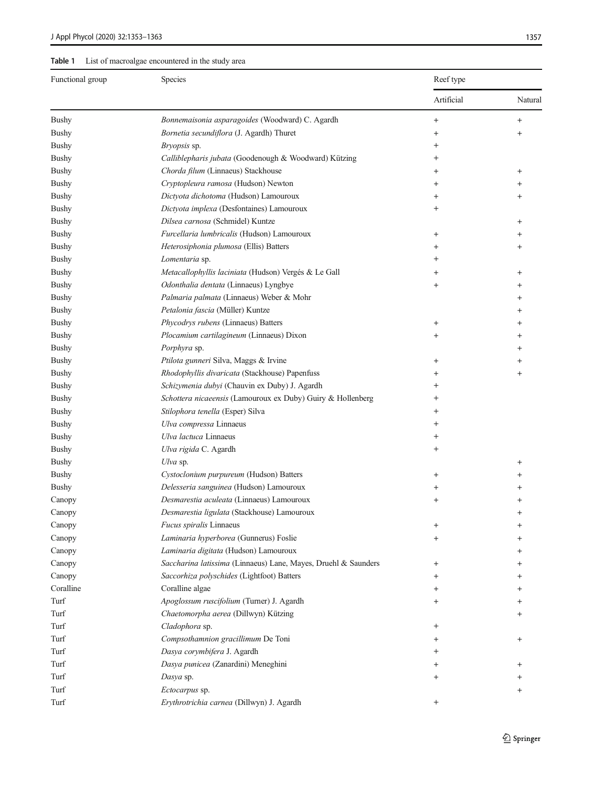<span id="page-4-0"></span>

| Functional group | Species                                                        | Reef type          |           |
|------------------|----------------------------------------------------------------|--------------------|-----------|
|                  |                                                                | Artificial         | Natural   |
| <b>Bushy</b>     | Bonnemaisonia asparagoides (Woodward) C. Agardh                | $\ddot{}$          | $^{+}$    |
| <b>Bushy</b>     | Bornetia secundiflora (J. Agardh) Thuret                       | $\ddot{}$          | $^{+}$    |
| <b>Bushy</b>     | Bryopsis sp.                                                   | $^+$               |           |
| <b>Bushy</b>     | Calliblepharis jubata (Goodenough & Woodward) Kützing          | $\,+\,$            |           |
| <b>Bushy</b>     | Chorda filum (Linnaeus) Stackhouse                             | $\,{}^+$           | $\,{}^+$  |
| <b>Bushy</b>     | Cryptopleura ramosa (Hudson) Newton                            | $\ddot{}$          |           |
| <b>Bushy</b>     | Dictyota dichotoma (Hudson) Lamouroux                          | $\,{}^+$           | $\,{}^+$  |
| <b>Bushy</b>     | Dictyota implexa (Desfontaines) Lamouroux                      | $\hbox{+}$         |           |
| <b>Bushy</b>     | Dilsea carnosa (Schmidel) Kuntze                               |                    | $\,{}^+$  |
| <b>Bushy</b>     | Furcellaria lumbricalis (Hudson) Lamouroux                     | $\overline{+}$     | $\,^+$    |
| <b>Bushy</b>     | Heterosiphonia plumosa (Ellis) Batters                         | $\,{}^+$           | $\, +$    |
| <b>Bushy</b>     | Lomentaria sp.                                                 | $\hbox{+}$         |           |
| <b>Bushy</b>     | Metacallophyllis laciniata (Hudson) Vergés & Le Gall           | $\pm$              | $^{+}$    |
| <b>Bushy</b>     | Odonthalia dentata (Linnaeus) Lyngbye                          | $\ddot{}$          | $\,{}^+$  |
| <b>Bushy</b>     | Palmaria palmata (Linnaeus) Weber & Mohr                       |                    | $^{+}$    |
| <b>Bushy</b>     | Petalonia fascia (Müller) Kuntze                               |                    | $^{+}$    |
| <b>Bushy</b>     | Phycodrys rubens (Linnaeus) Batters                            | $^{+}$             | $\ddot{}$ |
| <b>Bushy</b>     | Plocamium cartilagineum (Linnaeus) Dixon                       | $\overline{+}$     | $\, +$    |
| <b>Bushy</b>     | Porphyra sp.                                                   |                    | $^{+}$    |
| <b>Bushy</b>     | Ptilota gunneri Silva, Maggs & Irvine                          | $\pm$              | $^{+}$    |
| <b>Bushy</b>     | Rhodophyllis divaricata (Stackhouse) Papenfuss                 | $\hbox{ }$         | $^{+}$    |
| <b>Bushy</b>     | Schizymenia dubyi (Chauvin ex Duby) J. Agardh                  | $^+$               |           |
| <b>Bushy</b>     | Schottera nicaeensis (Lamouroux ex Duby) Guiry & Hollenberg    | $\hbox{+}$         |           |
| <b>Bushy</b>     | Stilophora tenella (Esper) Silva                               | $\hbox{ }$         |           |
| <b>Bushy</b>     | Ulva compressa Linnaeus                                        | $\hbox{+}$         |           |
| <b>Bushy</b>     | Ulva lactuca Linnaeus                                          | $\hbox{+}$         |           |
| <b>Bushy</b>     | Ulva rigida C. Agardh                                          | $^{+}$             |           |
| <b>Bushy</b>     | Ulva sp.                                                       |                    | $^+$      |
| <b>Bushy</b>     | Cystoclonium purpureum (Hudson) Batters                        | $\ddot{}$          |           |
| <b>Bushy</b>     | Delesseria sanguinea (Hudson) Lamouroux                        | $\,{}^+$           |           |
| Canopy           | Desmarestia aculeata (Linnaeus) Lamouroux                      | $\ddot{}$          |           |
| Canopy           | Desmarestia ligulata (Stackhouse) Lamouroux                    |                    | $\ddot{}$ |
| Canopy           | Fucus spiralis Linnaeus                                        | $\,^+$             | $\pm$     |
| Canopy           | Laminaria hyperborea (Gunnerus) Foslie                         | $\ddot{}$          | $\ddot{}$ |
| Canopy           | Laminaria digitata (Hudson) Lamouroux                          |                    | $\ddot{}$ |
| Canopy           | Saccharina latissima (Linnaeus) Lane, Mayes, Druehl & Saunders | $\ddot{}$          | $\pm$     |
| Canopy           | Saccorhiza polyschides (Lightfoot) Batters                     | $\,{}^+$           | $\pm$     |
| Coralline        | Coralline algae                                                | $\hbox{ }$         | $^{+}$    |
| Turf             | Apoglossum ruscifolium (Turner) J. Agardh                      | $\,{}^+$           | $\pm$     |
| Turf             | Chaetomorpha aerea (Dillwyn) Kützing                           |                    |           |
| Turf             | Cladophora sp.                                                 | $\ddot{}$          |           |
| Turf             | Compsothamnion gracillimum De Toni                             | $\pm$              | $\ddot{}$ |
| Turf             | Dasya corymbifera J. Agardh                                    | $\hskip 0.025cm +$ |           |
| Turf             | Dasya punicea (Zanardini) Meneghini                            | $\hbox{ }$         | $^{+}$    |
| Turf             | Dasya sp.                                                      | $\ddot{}$          |           |
| Turf             | Ectocarpus sp.                                                 |                    | $^{+}$    |
| Turf             | Erythrotrichia carnea (Dillwyn) J. Agardh                      | $^{+}$             |           |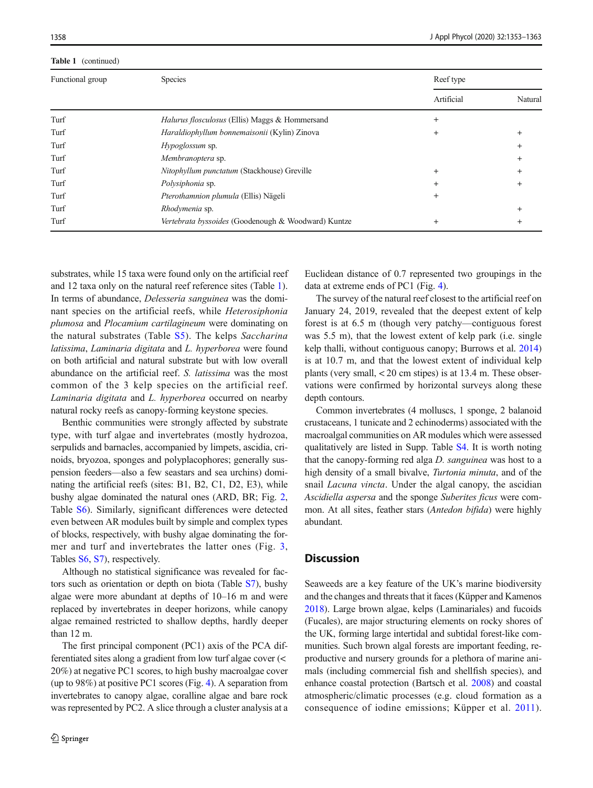#### Table 1 (continued)

| Functional group | Species                                               | Reef type  |          |
|------------------|-------------------------------------------------------|------------|----------|
|                  |                                                       | Artificial | Natural  |
| Turf             | <i>Halurus flosculosus</i> (Ellis) Maggs & Hommersand | $^{+}$     |          |
| Turf             | Haraldiophyllum bonnemaisonii (Kylin) Zinova          | $^{+}$     |          |
| Turf             | Hypoglossum sp.                                       |            |          |
| Turf             | Membranoptera sp.                                     |            | $^{+}$   |
| Turf             | Nitophyllum punctatum (Stackhouse) Greville           | $+$        | ÷        |
| Turf             | Polysiphonia sp.                                      | $^{+}$     | $\,{}^+$ |
| Turf             | Pterothamnion plumula (Ellis) Nägeli                  | $^{+}$     |          |
| Turf             | Rhodymenia sp.                                        |            | $^{+}$   |
| Turf             | Vertebrata byssoides (Goodenough & Woodward) Kuntze   | $^{+}$     | +        |

substrates, while 15 taxa were found only on the artificial reef and 12 taxa only on the natural reef reference sites (Table [1\)](#page-4-0). In terms of abundance, Delesseria sanguinea was the dominant species on the artificial reefs, while Heterosiphonia plumosa and Plocamium cartilagineum were dominating on the natural substrates (Table S5). The kelps Saccharina latissima, Laminaria digitata and L. hyperborea were found on both artificial and natural substrate but with low overall abundance on the artificial reef. S. latissima was the most common of the 3 kelp species on the artificial reef. Laminaria digitata and L. hyperborea occurred on nearby natural rocky reefs as canopy-forming keystone species.

Benthic communities were strongly affected by substrate type, with turf algae and invertebrates (mostly hydrozoa, serpulids and barnacles, accompanied by limpets, ascidia, crinoids, bryozoa, sponges and polyplacophores; generally suspension feeders—also a few seastars and sea urchins) dominating the artificial reefs (sites: B1, B2, C1, D2, E3), while bushy algae dominated the natural ones (ARD, BR; Fig. [2,](#page-6-0) Table S6). Similarly, significant differences were detected even between AR modules built by simple and complex types of blocks, respectively, with bushy algae dominating the former and turf and invertebrates the latter ones (Fig. [3,](#page-6-0) Tables S6, S7), respectively.

Although no statistical significance was revealed for factors such as orientation or depth on biota (Table S7), bushy algae were more abundant at depths of 10–16 m and were replaced by invertebrates in deeper horizons, while canopy algae remained restricted to shallow depths, hardly deeper than 12 m.

The first principal component (PC1) axis of the PCA differentiated sites along a gradient from low turf algae cover (< 20%) at negative PC1 scores, to high bushy macroalgae cover (up to 98%) at positive PC1 scores (Fig. [4\)](#page-7-0). A separation from invertebrates to canopy algae, coralline algae and bare rock was represented by PC2. A slice through a cluster analysis at a Euclidean distance of 0.7 represented two groupings in the data at extreme ends of PC1 (Fig. [4\)](#page-7-0).

The survey of the natural reef closest to the artificial reef on January 24, 2019, revealed that the deepest extent of kelp forest is at 6.5 m (though very patchy—contiguous forest was 5.5 m), that the lowest extent of kelp park (i.e. single kelp thalli, without contiguous canopy; Burrows et al. [2014](#page-8-0)) is at 10.7 m, and that the lowest extent of individual kelp plants (very small, < 20 cm stipes) is at 13.4 m. These observations were confirmed by horizontal surveys along these depth contours.

Common invertebrates (4 molluscs, 1 sponge, 2 balanoid crustaceans, 1 tunicate and 2 echinoderms) associated with the macroalgal communities on AR modules which were assessed qualitatively are listed in Supp. Table S4. It is worth noting that the canopy-forming red alga D. sanguinea was host to a high density of a small bivalve, *Turtonia minuta*, and of the snail Lacuna vincta. Under the algal canopy, the ascidian Ascidiella aspersa and the sponge Suberites ficus were common. At all sites, feather stars (Antedon bifida) were highly abundant.

## **Discussion**

Seaweeds are a key feature of the UK's marine biodiversity and the changes and threats that it faces (Küpper and Kamenos [2018\)](#page-9-0). Large brown algae, kelps (Laminariales) and fucoids (Fucales), are major structuring elements on rocky shores of the UK, forming large intertidal and subtidal forest-like communities. Such brown algal forests are important feeding, reproductive and nursery grounds for a plethora of marine animals (including commercial fish and shellfish species), and enhance coastal protection (Bartsch et al. [2008](#page-8-0)) and coastal atmospheric/climatic processes (e.g. cloud formation as a consequence of iodine emissions; Küpper et al. [2011](#page-9-0)).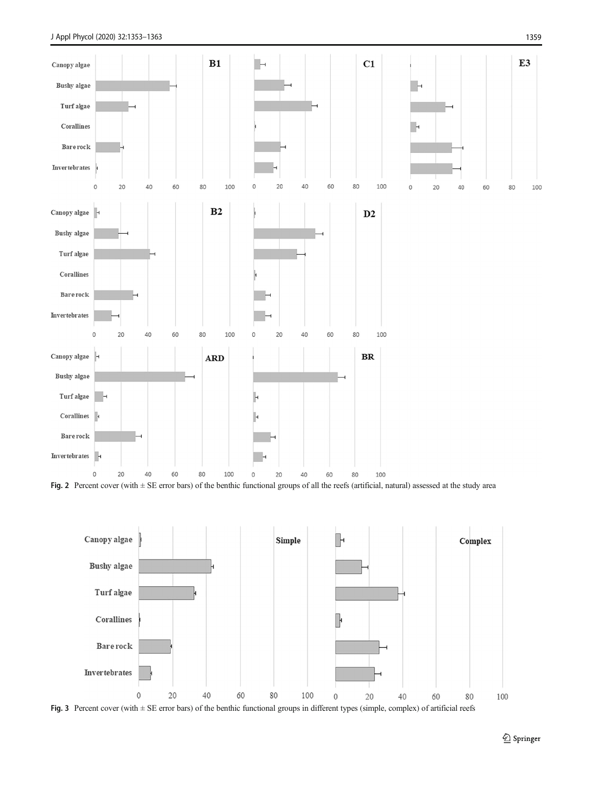<span id="page-6-0"></span>

Fig. 2 Percent cover (with  $\pm$  SE error bars) of the benthic functional groups of all the reefs (artificial, natural) assessed at the study area



Fig. 3 Percent cover (with ± SE error bars) of the benthic functional groups in different types (simple, complex) of artificial reefs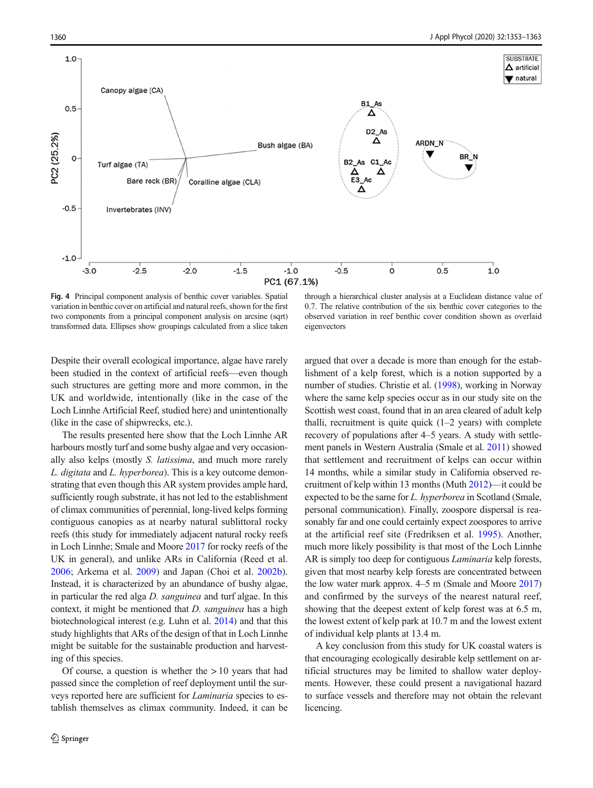<span id="page-7-0"></span>

Fig. 4 Principal component analysis of benthic cover variables. Spatial variation in benthic cover on artificial and natural reefs, shown for the first two components from a principal component analysis on arcsine (sqrt) transformed data. Ellipses show groupings calculated from a slice taken

through a hierarchical cluster analysis at a Euclidean distance value of 0.7. The relative contribution of the six benthic cover categories to the observed variation in reef benthic cover condition shown as overlaid eigenvectors

Despite their overall ecological importance, algae have rarely been studied in the context of artificial reefs—even though such structures are getting more and more common, in the UK and worldwide, intentionally (like in the case of the Loch Linnhe Artificial Reef, studied here) and unintentionally (like in the case of shipwrecks, etc.).

The results presented here show that the Loch Linnhe AR harbours mostly turf and some bushy algae and very occasionally also kelps (mostly S. latissima, and much more rarely L. digitata and L. hyperborea). This is a key outcome demonstrating that even though this AR system provides ample hard, sufficiently rough substrate, it has not led to the establishment of climax communities of perennial, long-lived kelps forming contiguous canopies as at nearby natural sublittoral rocky reefs (this study for immediately adjacent natural rocky reefs in Loch Linnhe; Smale and Moore [2017](#page-9-0) for rocky reefs of the UK in general), and unlike ARs in California (Reed et al. [2006;](#page-9-0) Arkema et al. [2009\)](#page-8-0) and Japan (Choi et al. [2002b](#page-9-0)). Instead, it is characterized by an abundance of bushy algae, in particular the red alga D. sanguinea and turf algae. In this context, it might be mentioned that *D. sanguinea* has a high biotechnological interest (e.g. Luhn et al. [2014\)](#page-9-0) and that this study highlights that ARs of the design of that in Loch Linnhe might be suitable for the sustainable production and harvesting of this species.

Of course, a question is whether the  $> 10$  years that had passed since the completion of reef deployment until the surveys reported here are sufficient for *Laminaria* species to establish themselves as climax community. Indeed, it can be argued that over a decade is more than enough for the establishment of a kelp forest, which is a notion supported by a number of studies. Christie et al. [\(1998](#page-9-0)), working in Norway where the same kelp species occur as in our study site on the Scottish west coast, found that in an area cleared of adult kelp thalli, recruitment is quite quick  $(1-2 \text{ years})$  with complete recovery of populations after 4–5 years. A study with settlement panels in Western Australia (Smale et al. [2011\)](#page-10-0) showed that settlement and recruitment of kelps can occur within 14 months, while a similar study in California observed recruitment of kelp within 13 months (Muth [2012\)](#page-9-0)—it could be expected to be the same for *L. hyperborea* in Scotland (Smale, personal communication). Finally, zoospore dispersal is reasonably far and one could certainly expect zoospores to arrive at the artificial reef site (Fredriksen et al. [1995](#page-9-0)). Another, much more likely possibility is that most of the Loch Linnhe AR is simply too deep for contiguous Laminaria kelp forests, given that most nearby kelp forests are concentrated between the low water mark approx. 4–5 m (Smale and Moore [2017](#page-9-0)) and confirmed by the surveys of the nearest natural reef, showing that the deepest extent of kelp forest was at 6.5 m, the lowest extent of kelp park at 10.7 m and the lowest extent of individual kelp plants at 13.4 m.

A key conclusion from this study for UK coastal waters is that encouraging ecologically desirable kelp settlement on artificial structures may be limited to shallow water deployments. However, these could present a navigational hazard to surface vessels and therefore may not obtain the relevant licencing.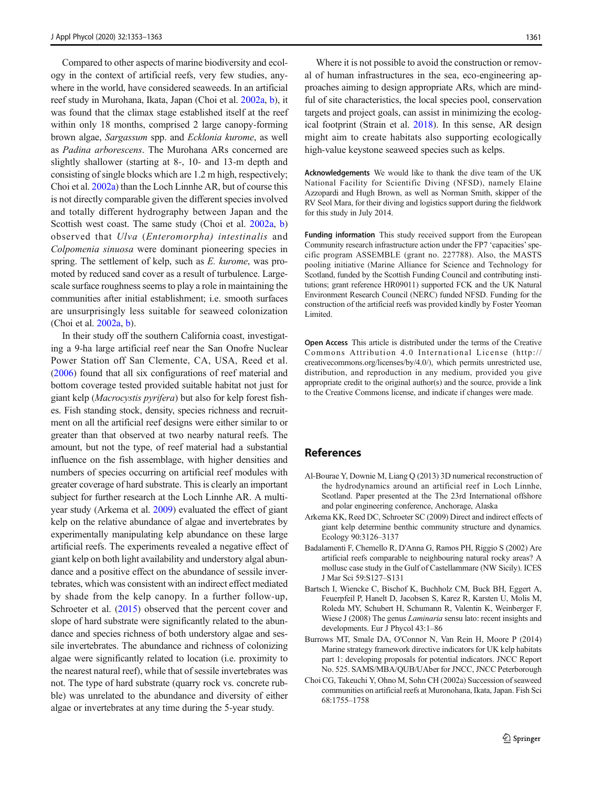<span id="page-8-0"></span>Compared to other aspects of marine biodiversity and ecology in the context of artificial reefs, very few studies, anywhere in the world, have considered seaweeds. In an artificial reef study in Murohana, Ikata, Japan (Choi et al. 2002a, [b\)](#page-9-0), it was found that the climax stage established itself at the reef within only 18 months, comprised 2 large canopy-forming brown algae, Sargassum spp. and Ecklonia kurome, as well as Padina arborescens. The Murohana ARs concerned are slightly shallower (starting at 8-, 10- and 13-m depth and consisting of single blocks which are 1.2 m high, respectively; Choi et al. 2002a) than the Loch Linnhe AR, but of course this is not directly comparable given the different species involved and totally different hydrography between Japan and the Scottish west coast. The same study (Choi et al. 2002a, [b\)](#page-9-0) observed that Ulva (Enteromorpha) intestinalis and Colpomenia sinuosa were dominant pioneering species in spring. The settlement of kelp, such as E. kurome, was promoted by reduced sand cover as a result of turbulence. Largescale surface roughness seems to play a role in maintaining the communities after initial establishment; i.e. smooth surfaces are unsurprisingly less suitable for seaweed colonization (Choi et al. 2002a, [b](#page-9-0)).

In their study off the southern California coast, investigating a 9-ha large artificial reef near the San Onofre Nuclear Power Station off San Clemente, CA, USA, Reed et al. [\(2006\)](#page-9-0) found that all six configurations of reef material and bottom coverage tested provided suitable habitat not just for giant kelp (Macrocystis pyrifera) but also for kelp forest fishes. Fish standing stock, density, species richness and recruitment on all the artificial reef designs were either similar to or greater than that observed at two nearby natural reefs. The amount, but not the type, of reef material had a substantial influence on the fish assemblage, with higher densities and numbers of species occurring on artificial reef modules with greater coverage of hard substrate. This is clearly an important subject for further research at the Loch Linnhe AR. A multiyear study (Arkema et al. 2009) evaluated the effect of giant kelp on the relative abundance of algae and invertebrates by experimentally manipulating kelp abundance on these large artificial reefs. The experiments revealed a negative effect of giant kelp on both light availability and understory algal abundance and a positive effect on the abundance of sessile invertebrates, which was consistent with an indirect effect mediated by shade from the kelp canopy. In a further follow-up, Schroeter et al. ([2015](#page-9-0)) observed that the percent cover and slope of hard substrate were significantly related to the abundance and species richness of both understory algae and sessile invertebrates. The abundance and richness of colonizing algae were significantly related to location (i.e. proximity to the nearest natural reef), while that of sessile invertebrates was not. The type of hard substrate (quarry rock vs. concrete rubble) was unrelated to the abundance and diversity of either algae or invertebrates at any time during the 5-year study.

Where it is not possible to avoid the construction or removal of human infrastructures in the sea, eco-engineering approaches aiming to design appropriate ARs, which are mindful of site characteristics, the local species pool, conservation targets and project goals, can assist in minimizing the ecological footprint (Strain et al. [2018](#page-10-0)). In this sense, AR design might aim to create habitats also supporting ecologically high-value keystone seaweed species such as kelps.

Acknowledgements We would like to thank the dive team of the UK National Facility for Scientific Diving (NFSD), namely Elaine Azzopardi and Hugh Brown, as well as Norman Smith, skipper of the RV Seol Mara, for their diving and logistics support during the fieldwork for this study in July 2014.

Funding information This study received support from the European Community research infrastructure action under the FP7 'capacities'specific program ASSEMBLE (grant no. 227788). Also, the MASTS pooling initiative (Marine Alliance for Science and Technology for Scotland, funded by the Scottish Funding Council and contributing institutions; grant reference HR09011) supported FCK and the UK Natural Environment Research Council (NERC) funded NFSD. Funding for the construction of the artificial reefs was provided kindly by Foster Yeoman Limited.

Open Access This article is distributed under the terms of the Creative Commons Attribution 4.0 International License (http:// creativecommons.org/licenses/by/4.0/), which permits unrestricted use, distribution, and reproduction in any medium, provided you give appropriate credit to the original author(s) and the source, provide a link to the Creative Commons license, and indicate if changes were made.

# References

- Al-Bourae Y, Downie M, Liang Q (2013) 3D numerical reconstruction of the hydrodynamics around an artificial reef in Loch Linnhe, Scotland. Paper presented at the The 23rd International offshore and polar engineering conference, Anchorage, Alaska
- Arkema KK, Reed DC, Schroeter SC (2009) Direct and indirect effects of giant kelp determine benthic community structure and dynamics. Ecology 90:3126–3137
- Badalamenti F, Chemello R, D'Anna G, Ramos PH, Riggio S (2002) Are artificial reefs comparable to neighbouring natural rocky areas? A mollusc case study in the Gulf of Castellammare (NW Sicily). ICES J Mar Sci 59:S127–S131
- Bartsch I, Wiencke C, Bischof K, Buchholz CM, Buck BH, Eggert A, Feuerpfeil P, Hanelt D, Jacobsen S, Karez R, Karsten U, Molis M, Roleda MY, Schubert H, Schumann R, Valentin K, Weinberger F, Wiese J (2008) The genus Laminaria sensu lato: recent insights and developments. Eur J Phycol 43:1–86
- Burrows MT, Smale DA, O'Connor N, Van Rein H, Moore P (2014) Marine strategy framework directive indicators for UK kelp habitats part 1: developing proposals for potential indicators. JNCC Report No. 525. SAMS/MBA/QUB/UAber for JNCC, JNCC Peterborough
- Choi CG, Takeuchi Y, Ohno M, Sohn CH (2002a) Succession of seaweed communities on artificial reefs at Muronohana, Ikata, Japan. Fish Sci 68:1755–1758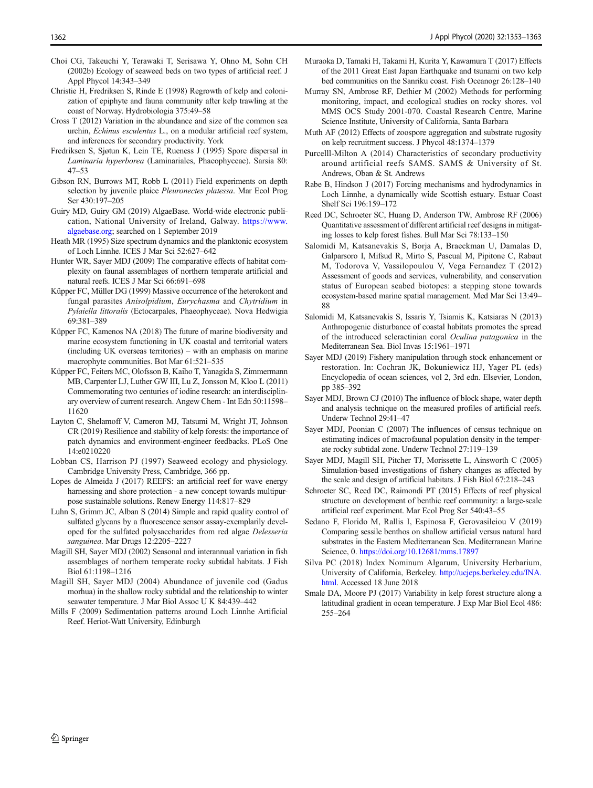- <span id="page-9-0"></span>Choi CG, Takeuchi Y, Terawaki T, Serisawa Y, Ohno M, Sohn CH (2002b) Ecology of seaweed beds on two types of artificial reef. J Appl Phycol 14:343–349
- Christie H, Fredriksen S, Rinde E (1998) Regrowth of kelp and colonization of epiphyte and fauna community after kelp trawling at the coast of Norway. Hydrobiologia 375:49–58
- Cross T (2012) Variation in the abundance and size of the common sea urchin, Echinus esculentus L., on a modular artificial reef system, and inferences for secondary productivity. York
- Fredriksen S, Sjøtun K, Lein TE, Rueness J (1995) Spore dispersal in Laminaria hyperborea (Laminariales, Phaeophyceae). Sarsia 80: 47–53
- Gibson RN, Burrows MT, Robb L (2011) Field experiments on depth selection by juvenile plaice Pleuronectes platessa. Mar Ecol Prog Ser 430:197–205
- Guiry MD, Guiry GM (2019) AlgaeBase. World-wide electronic publication, National University of Ireland, Galway. [https://www.](https://www.algaebase.org) [algaebase.org](https://www.algaebase.org); searched on 1 September 2019
- Heath MR (1995) Size spectrum dynamics and the planktonic ecosystem of Loch Linnhe. ICES J Mar Sci 52:627–642
- Hunter WR, Sayer MDJ (2009) The comparative effects of habitat complexity on faunal assemblages of northern temperate artificial and natural reefs. ICES J Mar Sci 66:691–698
- Küpper FC, Müller DG (1999) Massive occurrence of the heterokont and fungal parasites Anisolpidium, Eurychasma and Chytridium in Pylaiella littoralis (Ectocarpales, Phaeophyceae). Nova Hedwigia 69:381–389
- Küpper FC, Kamenos NA (2018) The future of marine biodiversity and marine ecosystem functioning in UK coastal and territorial waters (including UK overseas territories) – with an emphasis on marine macrophyte communities. Bot Mar 61:521–535
- Küpper FC, Feiters MC, Olofsson B, Kaiho T, Yanagida S, Zimmermann MB, Carpenter LJ, Luther GW III, Lu Z, Jonsson M, Kloo L (2011) Commemorating two centuries of iodine research: an interdisciplinary overview of current research. Angew Chem - Int Edn 50:11598– 11620
- Layton C, Shelamoff V, Cameron MJ, Tatsumi M, Wright JT, Johnson CR (2019) Resilience and stability of kelp forests: the importance of patch dynamics and environment-engineer feedbacks. PLoS One 14:e0210220
- Lobban CS, Harrison PJ (1997) Seaweed ecology and physiology. Cambridge University Press, Cambridge, 366 pp.
- Lopes de Almeida J (2017) REEFS: an artificial reef for wave energy harnessing and shore protection - a new concept towards multipurpose sustainable solutions. Renew Energy 114:817–829
- Luhn S, Grimm JC, Alban S (2014) Simple and rapid quality control of sulfated glycans by a fluorescence sensor assay-exemplarily developed for the sulfated polysaccharides from red algae Delesseria sanguinea. Mar Drugs 12:2205–2227
- Magill SH, Sayer MDJ (2002) Seasonal and interannual variation in fish assemblages of northern temperate rocky subtidal habitats. J Fish Biol 61:1198–1216
- Magill SH, Sayer MDJ (2004) Abundance of juvenile cod (Gadus morhua) in the shallow rocky subtidal and the relationship to winter seawater temperature. J Mar Biol Assoc U K 84:439–442
- Mills F (2009) Sedimentation patterns around Loch Linnhe Artificial Reef. Heriot-Watt University, Edinburgh
- Muraoka D, Tamaki H, Takami H, Kurita Y, Kawamura T (2017) Effects of the 2011 Great East Japan Earthquake and tsunami on two kelp bed communities on the Sanriku coast. Fish Oceanogr 26:128–140
- Murray SN, Ambrose RF, Dethier M (2002) Methods for performing monitoring, impact, and ecological studies on rocky shores. vol MMS OCS Study 2001-070. Coastal Research Centre, Marine Science Institute, University of California, Santa Barbara
- Muth AF (2012) Effects of zoospore aggregation and substrate rugosity on kelp recruitment success. J Phycol 48:1374–1379
- Purcelll-Milton A (2014) Characteristics of secondary productivity around artificial reefs SAMS. SAMS & University of St. Andrews, Oban & St. Andrews
- Rabe B, Hindson J (2017) Forcing mechanisms and hydrodynamics in Loch Linnhe, a dynamically wide Scottish estuary. Estuar Coast Shelf Sci 196:159–172
- Reed DC, Schroeter SC, Huang D, Anderson TW, Ambrose RF (2006) Quantitative assessment of different artificial reef designs in mitigating losses to kelp forest fishes. Bull Mar Sci 78:133–150
- Salomidi M, Katsanevakis S, Borja A, Braeckman U, Damalas D, Galparsoro I, Mifsud R, Mirto S, Pascual M, Pipitone C, Rabaut M, Todorova V, Vassilopoulou V, Vega Fernandez T (2012) Assessment of goods and services, vulnerability, and conservation status of European seabed biotopes: a stepping stone towards ecosystem-based marine spatial management. Med Mar Sci 13:49– 88
- Salomidi M, Katsanevakis S, Issaris Y, Tsiamis K, Katsiaras N (2013) Anthropogenic disturbance of coastal habitats promotes the spread of the introduced scleractinian coral Oculina patagonica in the Mediterranean Sea. Biol Invas 15:1961–1971
- Sayer MDJ (2019) Fishery manipulation through stock enhancement or restoration. In: Cochran JK, Bokuniewicz HJ, Yager PL (eds) Encyclopedia of ocean sciences, vol 2, 3rd edn. Elsevier, London, pp 385–392
- Sayer MDJ, Brown CJ (2010) The influence of block shape, water depth and analysis technique on the measured profiles of artificial reefs. Underw Technol 29:41–47
- Sayer MDJ, Poonian C (2007) The influences of census technique on estimating indices of macrofaunal population density in the temperate rocky subtidal zone. Underw Technol 27:119–139
- Sayer MDJ, Magill SH, Pitcher TJ, Morissette L, Ainsworth C (2005) Simulation-based investigations of fishery changes as affected by the scale and design of artificial habitats. J Fish Biol 67:218–243
- Schroeter SC, Reed DC, Raimondi PT (2015) Effects of reef physical structure on development of benthic reef community: a large-scale artificial reef experiment. Mar Ecol Prog Ser 540:43–55
- Sedano F, Florido M, Rallis I, Espinosa F, Gerovasileiou V (2019) Comparing sessile benthos on shallow artificial versus natural hard substrates in the Eastern Mediterranean Sea. Mediterranean Marine Science, 0. <https://doi.org/10.12681/mms.17897>
- Silva PC (2018) Index Nominum Algarum, University Herbarium, University of California, Berkeley. [http://ucjeps.berkeley.edu/INA.](http://ucjeps.berkeley.edu/INA.html) [html](http://ucjeps.berkeley.edu/INA.html). Accessed 18 June 2018
- Smale DA, Moore PJ (2017) Variability in kelp forest structure along a latitudinal gradient in ocean temperature. J Exp Mar Biol Ecol 486: 255–264